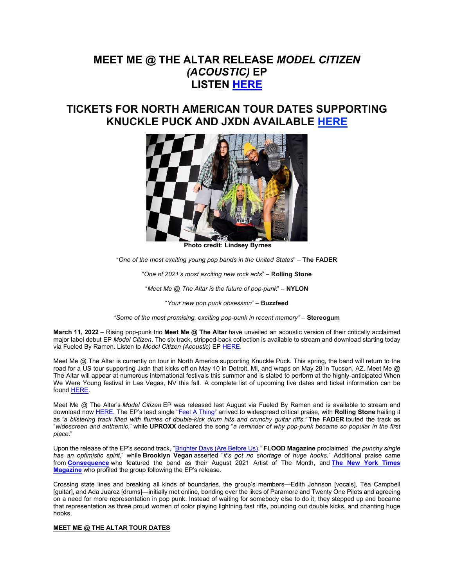# **MEET ME @ THE ALTAR RELEASE** *MODEL CITIZEN (ACOUSTIC)* **EP LISTEN [HERE](https://nam04.safelinks.protection.outlook.com/?url=https%3A%2F%2Fmmata.lnk.to%2FMCacoustic&data=04%7C01%7CDestinyDominguez%40elektra.com%7C351b2acb5e734dfa365708da0374054c%7C8367939002ec4ba1ad3d69da3fdd637e%7C0%7C0%7C637826094089939052%7CUnknown%7CTWFpbGZsb3d8eyJWIjoiMC4wLjAwMDAiLCJQIjoiV2luMzIiLCJBTiI6Ik1haWwiLCJXVCI6Mn0%3D%7C3000&sdata=xcn6KedQei3ERTqK%2FzSS4nnMGJQuL2bVaVQfT4c0crM%3D&reserved=0)**

# **TICKETS FOR NORTH AMERICAN TOUR DATES SUPPORTING KNUCKLE PUCK AND JXDN AVAILABLE [HERE](https://nam04.safelinks.protection.outlook.com/?url=https%3A%2F%2Fwww.meetmeatthealtar.com%2Ftour&data=04%7C01%7CDestinyDominguez%40elektra.com%7C351b2acb5e734dfa365708da0374054c%7C8367939002ec4ba1ad3d69da3fdd637e%7C0%7C0%7C637826094089939052%7CUnknown%7CTWFpbGZsb3d8eyJWIjoiMC4wLjAwMDAiLCJQIjoiV2luMzIiLCJBTiI6Ik1haWwiLCJXVCI6Mn0%3D%7C3000&sdata=k9JEB2E9dJcFdZTWP%2BjRLCOiff25nf6bGCNfy29rB%2BM%3D&reserved=0)**



**Photo credit: Lindsey Byrnes**

"*One of the most exciting young pop bands in the United States*" – **The FADER**

"*One of 2021's most exciting new rock acts*" – **Rolling Stone**

"*Meet Me @ The Altar is the future of pop-punk*" – **NYLON**

"*Your new pop punk obsession*" – **Buzzfeed**

*"Some of the most promising, exciting pop-punk in recent memory"* – **Stereogum**

**March 11, 2022** – Rising pop-punk trio **Meet Me @ The Altar** have unveiled an acoustic version of their critically acclaimed major label debut EP *Model Citizen*. The six track, stripped-back collection is available to stream and download starting today via Fueled By Ramen. Listen to *Model Citizen (Acoustic)* EP [HERE.](https://nam04.safelinks.protection.outlook.com/?url=https%3A%2F%2Fmmata.lnk.to%2FMCacoustic&data=04%7C01%7CDestinyDominguez%40elektra.com%7C351b2acb5e734dfa365708da0374054c%7C8367939002ec4ba1ad3d69da3fdd637e%7C0%7C0%7C637826094089939052%7CUnknown%7CTWFpbGZsb3d8eyJWIjoiMC4wLjAwMDAiLCJQIjoiV2luMzIiLCJBTiI6Ik1haWwiLCJXVCI6Mn0%3D%7C3000&sdata=xcn6KedQei3ERTqK%2FzSS4nnMGJQuL2bVaVQfT4c0crM%3D&reserved=0)

Meet Me @ The Altar is currently on tour in North America supporting Knuckle Puck. This spring, the band will return to the road for a US tour supporting Jxdn that kicks off on May 10 in Detroit, MI, and wraps on May 28 in Tucson, AZ. Meet Me @ The Altar will appear at numerous international festivals this summer and is slated to perform at the highly-anticipated When We Were Young festival in Las Vegas, NV this fall. A complete list of upcoming live dates and ticket information can be found [HERE.](https://nam04.safelinks.protection.outlook.com/?url=https%3A%2F%2Fwww.meetmeatthealtar.com%2Ftour&data=04%7C01%7CDestinyDominguez%40elektra.com%7C351b2acb5e734dfa365708da0374054c%7C8367939002ec4ba1ad3d69da3fdd637e%7C0%7C0%7C637826094089939052%7CUnknown%7CTWFpbGZsb3d8eyJWIjoiMC4wLjAwMDAiLCJQIjoiV2luMzIiLCJBTiI6Ik1haWwiLCJXVCI6Mn0%3D%7C3000&sdata=k9JEB2E9dJcFdZTWP%2BjRLCOiff25nf6bGCNfy29rB%2BM%3D&reserved=0)

Meet Me @ The Altar's *Model Citizen* EP was released last August via Fueled By Ramen and is available to stream and download now [HERE.](https://nam04.safelinks.protection.outlook.com/?url=https%3A%2F%2Fmmata.lnk.to%2Fmodelcitizen&data=04%7C01%7CDestinyDominguez%40elektra.com%7C351b2acb5e734dfa365708da0374054c%7C8367939002ec4ba1ad3d69da3fdd637e%7C0%7C0%7C637826094089939052%7CUnknown%7CTWFpbGZsb3d8eyJWIjoiMC4wLjAwMDAiLCJQIjoiV2luMzIiLCJBTiI6Ik1haWwiLCJXVCI6Mn0%3D%7C3000&sdata=BDiOpiNWm0iD39ENhab3iKnKDCkEjaMuAJnt63I9uDg%3D&reserved=0) The EP's lead single ["Feel A Thing"](https://nam04.safelinks.protection.outlook.com/?url=https%3A%2F%2Fyoutu.be%2F-mZk2ythbWk&data=04%7C01%7CDestinyDominguez%40elektra.com%7C351b2acb5e734dfa365708da0374054c%7C8367939002ec4ba1ad3d69da3fdd637e%7C0%7C0%7C637826094089939052%7CUnknown%7CTWFpbGZsb3d8eyJWIjoiMC4wLjAwMDAiLCJQIjoiV2luMzIiLCJBTiI6Ik1haWwiLCJXVCI6Mn0%3D%7C3000&sdata=JrFtmjZxeMtJ5A2ECBv9pUHWg5IQtk9EHDFIpUkeN10%3D&reserved=0) arrived to widespread critical praise, with **Rolling Stone** hailing it as *"a blistering track filled with flurries of double-kick drum hits and crunchy guitar riffs*.*"* **The FADER** touted the track as "*widescreen and anthemic*," while **UPROXX** declared the song "*a reminder of why pop-punk became so popular in the first place*."

Upon the release of the EP's second track, ["Brighter Days \(Are Before Us\),](https://nam04.safelinks.protection.outlook.com/?url=https%3A%2F%2Fwww.youtube.com%2Fwatch%3Fv%3DLShfYZWyOo0&data=04%7C01%7CDestinyDominguez%40elektra.com%7C351b2acb5e734dfa365708da0374054c%7C8367939002ec4ba1ad3d69da3fdd637e%7C0%7C0%7C637826094089939052%7CUnknown%7CTWFpbGZsb3d8eyJWIjoiMC4wLjAwMDAiLCJQIjoiV2luMzIiLCJBTiI6Ik1haWwiLCJXVCI6Mn0%3D%7C3000&sdata=Orspnb74Tzvll8JmcmSEbJou0XXVDhGcXMrKCoo9a2s%3D&reserved=0)" **FLOOD Magazine** proclaimed "*the punchy single has an optimistic spirit*," while **Brooklyn Vegan** asserted "*it's got no shortage of huge hooks.*" Additional praise came from **[Consequence](https://nam04.safelinks.protection.outlook.com/?url=https%3A%2F%2Fconsequence.net%2F2021%2F08%2Fmeet-me-at-the-altar-interview-artist-of-the-month%2F&data=04%7C01%7CDestinyDominguez%40elektra.com%7C351b2acb5e734dfa365708da0374054c%7C8367939002ec4ba1ad3d69da3fdd637e%7C0%7C0%7C637826094089939052%7CUnknown%7CTWFpbGZsb3d8eyJWIjoiMC4wLjAwMDAiLCJQIjoiV2luMzIiLCJBTiI6Ik1haWwiLCJXVCI6Mn0%3D%7C3000&sdata=PnYoGgq%2BQBPGccYXJK9Fwd6KSOniTDyg1HxMdag7MqM%3D&reserved=0)** who featured the band as their August 2021 Artist of The Month, and **[The New York Times](https://nam04.safelinks.protection.outlook.com/?url=https%3A%2F%2Fwww.nytimes.com%2F2021%2F08%2F19%2Fmagazine%2Fmeet-me-at-the-altar.html&data=04%7C01%7CDestinyDominguez%40elektra.com%7C351b2acb5e734dfa365708da0374054c%7C8367939002ec4ba1ad3d69da3fdd637e%7C0%7C0%7C637826094089939052%7CUnknown%7CTWFpbGZsb3d8eyJWIjoiMC4wLjAwMDAiLCJQIjoiV2luMzIiLCJBTiI6Ik1haWwiLCJXVCI6Mn0%3D%7C3000&sdata=gMsuLcA2OPIKUxtGzEVBezAhiS2LKNJU%2FQXOhf92GIA%3D&reserved=0)  [Magazine](https://nam04.safelinks.protection.outlook.com/?url=https%3A%2F%2Fwww.nytimes.com%2F2021%2F08%2F19%2Fmagazine%2Fmeet-me-at-the-altar.html&data=04%7C01%7CDestinyDominguez%40elektra.com%7C351b2acb5e734dfa365708da0374054c%7C8367939002ec4ba1ad3d69da3fdd637e%7C0%7C0%7C637826094089939052%7CUnknown%7CTWFpbGZsb3d8eyJWIjoiMC4wLjAwMDAiLCJQIjoiV2luMzIiLCJBTiI6Ik1haWwiLCJXVCI6Mn0%3D%7C3000&sdata=gMsuLcA2OPIKUxtGzEVBezAhiS2LKNJU%2FQXOhf92GIA%3D&reserved=0)** who profiled the group following the EP's release.

Crossing state lines and breaking all kinds of boundaries, the group's members—Edith Johnson [vocals], Téa Campbell [quitar], and Ada Juarez [drums]—initially met online, bonding over the likes of Paramore and Twenty One Pilots and agreeing on a need for more representation in pop punk. Instead of waiting for somebody else to do it, they stepped up and became that representation as three proud women of color playing lightning fast riffs, pounding out double kicks, and chanting huge hooks.

## **MEET ME @ THE ALTAR TOUR DATES**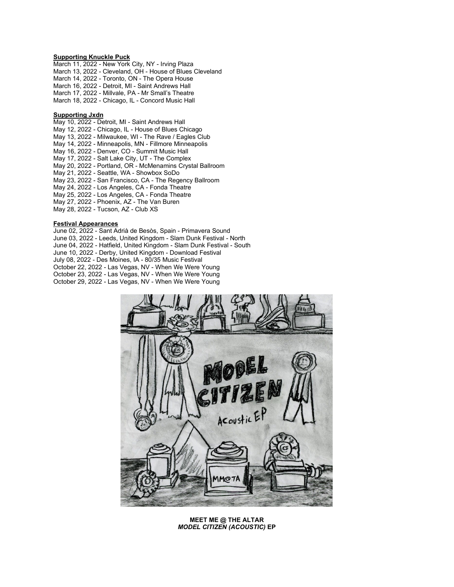### **Supporting Knuckle Puck**

March 11, 2022 - New York City, NY - Irving Plaza March 13, 2022 - Cleveland, OH - House of Blues Cleveland March 14, 2022 - Toronto, ON - The Opera House March 16, 2022 - Detroit, MI - Saint Andrews Hall March 17, 2022 - Millvale, PA - Mr Small's Theatre March 18, 2022 - Chicago, IL - Concord Music Hall

#### **Supporting Jxdn**

May 10, 2022 - Detroit, MI - Saint Andrews Hall May 12, 2022 - Chicago, IL - House of Blues Chicago May 13, 2022 - Milwaukee, WI - The Rave / Eagles Club May 14, 2022 - Minneapolis, MN - Fillmore Minneapolis May 16, 2022 - Denver, CO - Summit Music Hall May 17, 2022 - Salt Lake City, UT - The Complex May 20, 2022 - Portland, OR - McMenamins Crystal Ballroom May 21, 2022 - Seattle, WA - Showbox SoDo May 23, 2022 - San Francisco, CA - The Regency Ballroom May 24, 2022 - Los Angeles, CA - Fonda Theatre May 25, 2022 - Los Angeles, CA - Fonda Theatre May 27, 2022 - Phoenix, AZ - The Van Buren May 28, 2022 - Tucson, AZ - Club XS

### **Festival Appearances**

June 02, 2022 - Sant Adrià de Besòs, Spain - Primavera Sound June 03, 2022 - Leeds, United Kingdom - Slam Dunk Festival - North June 04, 2022 - Hatfield, United Kingdom - Slam Dunk Festival - South June 10, 2022 - Derby, United Kingdom - Download Festival July 08, 2022 - Des Moines, IA - 80/35 Music Festival October 22, 2022 - Las Vegas, NV - When We Were Young October 23, 2022 - Las Vegas, NV - When We Were Young October 29, 2022 - Las Vegas, NV - When We Were Young



**MEET ME @ THE ALTAR** *MODEL CITIZEN (ACOUSTIC)* **EP**